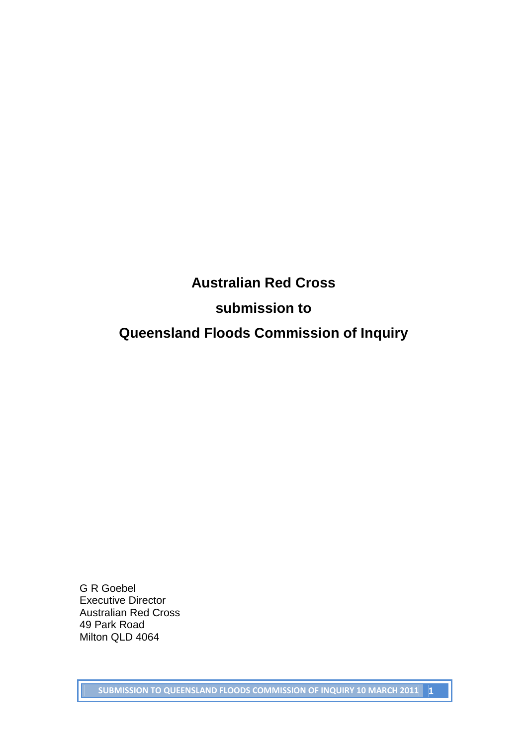## **Australian Red Cross**

## **submission to**

# **Queensland Floods Commission of Inquiry**

G R Goebel Executive Director Australian Red Cross 49 Park Road Milton QLD 4064

**SUBMISSION TO QUEENSLAND FLOODS COMMISSION OF INQUIRY 10 MARCH 2011 1**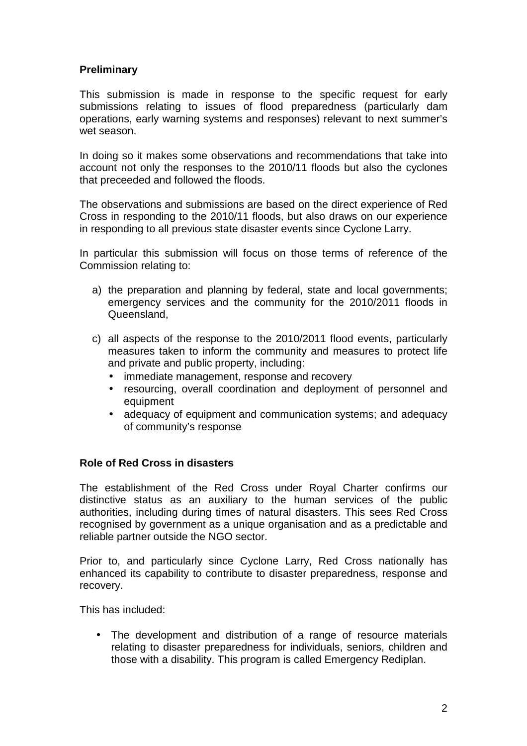### **Preliminary**

This submission is made in response to the specific request for early submissions relating to issues of flood preparedness (particularly dam operations, early warning systems and responses) relevant to next summer's wet season.

In doing so it makes some observations and recommendations that take into account not only the responses to the 2010/11 floods but also the cyclones that preceeded and followed the floods.

The observations and submissions are based on the direct experience of Red Cross in responding to the 2010/11 floods, but also draws on our experience in responding to all previous state disaster events since Cyclone Larry.

In particular this submission will focus on those terms of reference of the Commission relating to:

- a) the preparation and planning by federal, state and local governments; emergency services and the community for the 2010/2011 floods in Queensland,
- c) all aspects of the response to the 2010/2011 flood events, particularly measures taken to inform the community and measures to protect life and private and public property, including:
	- immediate management, response and recovery
	- resourcing, overall coordination and deployment of personnel and equipment
	- adequacy of equipment and communication systems: and adequacy of community's response

#### **Role of Red Cross in disasters**

The establishment of the Red Cross under Royal Charter confirms our distinctive status as an auxiliary to the human services of the public authorities, including during times of natural disasters. This sees Red Cross recognised by government as a unique organisation and as a predictable and reliable partner outside the NGO sector.

Prior to, and particularly since Cyclone Larry, Red Cross nationally has enhanced its capability to contribute to disaster preparedness, response and recovery.

This has included:

• The development and distribution of a range of resource materials relating to disaster preparedness for individuals, seniors, children and those with a disability. This program is called Emergency Rediplan.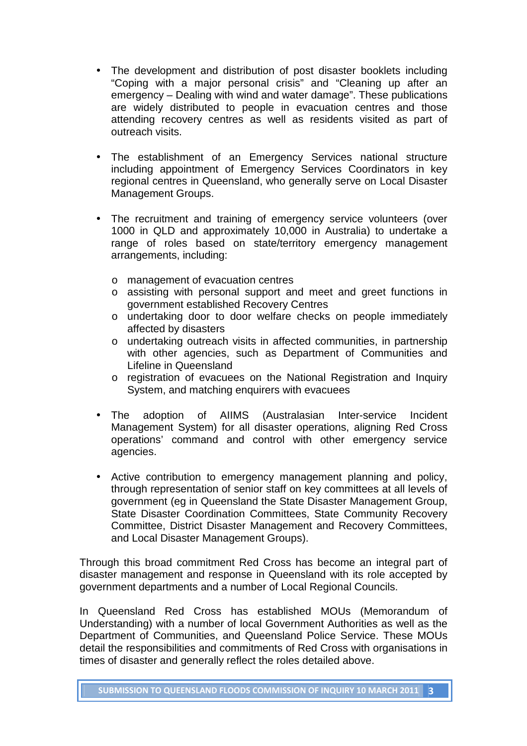- The development and distribution of post disaster booklets including "Coping with a major personal crisis" and "Cleaning up after an emergency – Dealing with wind and water damage". These publications are widely distributed to people in evacuation centres and those attending recovery centres as well as residents visited as part of outreach visits.
- The establishment of an Emergency Services national structure including appointment of Emergency Services Coordinators in key regional centres in Queensland, who generally serve on Local Disaster Management Groups.
- The recruitment and training of emergency service volunteers (over 1000 in QLD and approximately 10,000 in Australia) to undertake a range of roles based on state/territory emergency management arrangements, including:
	- o management of evacuation centres
	- o assisting with personal support and meet and greet functions in government established Recovery Centres
	- o undertaking door to door welfare checks on people immediately affected by disasters
	- o undertaking outreach visits in affected communities, in partnership with other agencies, such as Department of Communities and Lifeline in Queensland
	- o registration of evacuees on the National Registration and Inquiry System, and matching enquirers with evacuees
- The adoption of AIIMS (Australasian Inter-service Incident Management System) for all disaster operations, aligning Red Cross operations' command and control with other emergency service agencies.
- Active contribution to emergency management planning and policy, through representation of senior staff on key committees at all levels of government (eg in Queensland the State Disaster Management Group, State Disaster Coordination Committees, State Community Recovery Committee, District Disaster Management and Recovery Committees, and Local Disaster Management Groups).

Through this broad commitment Red Cross has become an integral part of disaster management and response in Queensland with its role accepted by government departments and a number of Local Regional Councils.

In Queensland Red Cross has established MOUs (Memorandum of Understanding) with a number of local Government Authorities as well as the Department of Communities, and Queensland Police Service. These MOUs detail the responsibilities and commitments of Red Cross with organisations in times of disaster and generally reflect the roles detailed above.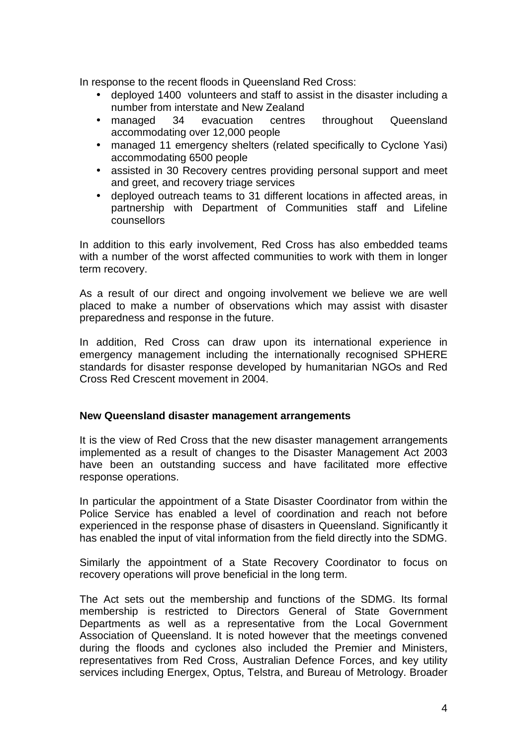In response to the recent floods in Queensland Red Cross:

- deployed 1400 volunteers and staff to assist in the disaster including a number from interstate and New Zealand
- managed 34 evacuation centres throughout Queensland accommodating over 12,000 people
- managed 11 emergency shelters (related specifically to Cyclone Yasi) accommodating 6500 people
- assisted in 30 Recovery centres providing personal support and meet and greet, and recovery triage services
- deployed outreach teams to 31 different locations in affected areas, in partnership with Department of Communities staff and Lifeline counsellors

In addition to this early involvement, Red Cross has also embedded teams with a number of the worst affected communities to work with them in longer term recovery.

As a result of our direct and ongoing involvement we believe we are well placed to make a number of observations which may assist with disaster preparedness and response in the future.

In addition, Red Cross can draw upon its international experience in emergency management including the internationally recognised SPHERE standards for disaster response developed by humanitarian NGOs and Red Cross Red Crescent movement in 2004.

#### **New Queensland disaster management arrangements**

It is the view of Red Cross that the new disaster management arrangements implemented as a result of changes to the Disaster Management Act 2003 have been an outstanding success and have facilitated more effective response operations.

In particular the appointment of a State Disaster Coordinator from within the Police Service has enabled a level of coordination and reach not before experienced in the response phase of disasters in Queensland. Significantly it has enabled the input of vital information from the field directly into the SDMG.

Similarly the appointment of a State Recovery Coordinator to focus on recovery operations will prove beneficial in the long term.

The Act sets out the membership and functions of the SDMG. Its formal membership is restricted to Directors General of State Government Departments as well as a representative from the Local Government Association of Queensland. It is noted however that the meetings convened during the floods and cyclones also included the Premier and Ministers, representatives from Red Cross, Australian Defence Forces, and key utility services including Energex, Optus, Telstra, and Bureau of Metrology. Broader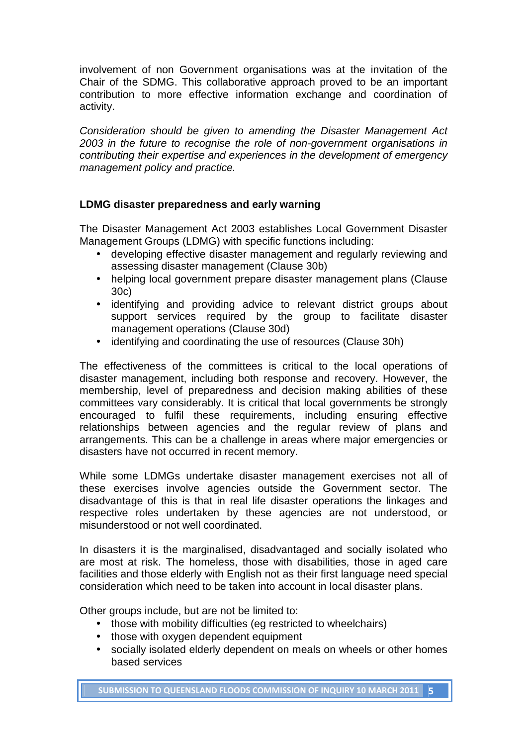involvement of non Government organisations was at the invitation of the Chair of the SDMG. This collaborative approach proved to be an important contribution to more effective information exchange and coordination of activity.

Consideration should be given to amending the Disaster Management Act 2003 in the future to recognise the role of non-government organisations in contributing their expertise and experiences in the development of emergency management policy and practice.

### **LDMG disaster preparedness and early warning**

The Disaster Management Act 2003 establishes Local Government Disaster Management Groups (LDMG) with specific functions including:

- developing effective disaster management and regularly reviewing and assessing disaster management (Clause 30b)
- helping local government prepare disaster management plans (Clause 30c)
- identifying and providing advice to relevant district groups about support services required by the group to facilitate disaster management operations (Clause 30d)
- identifying and coordinating the use of resources (Clause 30h)

The effectiveness of the committees is critical to the local operations of disaster management, including both response and recovery. However, the membership, level of preparedness and decision making abilities of these committees vary considerably. It is critical that local governments be strongly encouraged to fulfil these requirements, including ensuring effective relationships between agencies and the regular review of plans and arrangements. This can be a challenge in areas where major emergencies or disasters have not occurred in recent memory.

While some LDMGs undertake disaster management exercises not all of these exercises involve agencies outside the Government sector. The disadvantage of this is that in real life disaster operations the linkages and respective roles undertaken by these agencies are not understood, or misunderstood or not well coordinated.

In disasters it is the marginalised, disadvantaged and socially isolated who are most at risk. The homeless, those with disabilities, those in aged care facilities and those elderly with English not as their first language need special consideration which need to be taken into account in local disaster plans.

Other groups include, but are not be limited to:

- those with mobility difficulties (eq restricted to wheelchairs)
- those with oxygen dependent equipment
- socially isolated elderly dependent on meals on wheels or other homes based services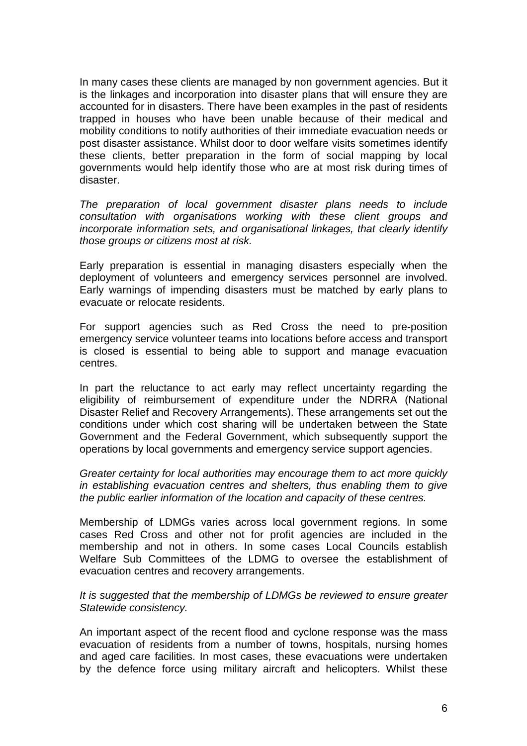In many cases these clients are managed by non government agencies. But it is the linkages and incorporation into disaster plans that will ensure they are accounted for in disasters. There have been examples in the past of residents trapped in houses who have been unable because of their medical and mobility conditions to notify authorities of their immediate evacuation needs or post disaster assistance. Whilst door to door welfare visits sometimes identify these clients, better preparation in the form of social mapping by local governments would help identify those who are at most risk during times of disaster.

The preparation of local government disaster plans needs to include consultation with organisations working with these client groups and incorporate information sets, and organisational linkages, that clearly identify those groups or citizens most at risk.

Early preparation is essential in managing disasters especially when the deployment of volunteers and emergency services personnel are involved. Early warnings of impending disasters must be matched by early plans to evacuate or relocate residents.

For support agencies such as Red Cross the need to pre-position emergency service volunteer teams into locations before access and transport is closed is essential to being able to support and manage evacuation centres.

In part the reluctance to act early may reflect uncertainty regarding the eligibility of reimbursement of expenditure under the NDRRA (National Disaster Relief and Recovery Arrangements). These arrangements set out the conditions under which cost sharing will be undertaken between the State Government and the Federal Government, which subsequently support the operations by local governments and emergency service support agencies.

Greater certainty for local authorities may encourage them to act more quickly in establishing evacuation centres and shelters, thus enabling them to give the public earlier information of the location and capacity of these centres.

Membership of LDMGs varies across local government regions. In some cases Red Cross and other not for profit agencies are included in the membership and not in others. In some cases Local Councils establish Welfare Sub Committees of the LDMG to oversee the establishment of evacuation centres and recovery arrangements.

It is suggested that the membership of LDMGs be reviewed to ensure greater Statewide consistency.

An important aspect of the recent flood and cyclone response was the mass evacuation of residents from a number of towns, hospitals, nursing homes and aged care facilities. In most cases, these evacuations were undertaken by the defence force using military aircraft and helicopters. Whilst these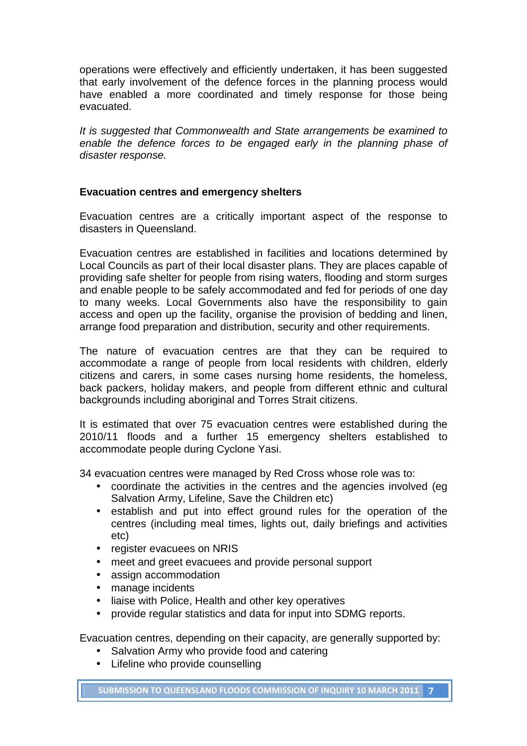operations were effectively and efficiently undertaken, it has been suggested that early involvement of the defence forces in the planning process would have enabled a more coordinated and timely response for those being evacuated.

It is suggested that Commonwealth and State arrangements be examined to enable the defence forces to be engaged early in the planning phase of disaster response.

#### **Evacuation centres and emergency shelters**

Evacuation centres are a critically important aspect of the response to disasters in Queensland.

Evacuation centres are established in facilities and locations determined by Local Councils as part of their local disaster plans. They are places capable of providing safe shelter for people from rising waters, flooding and storm surges and enable people to be safely accommodated and fed for periods of one day to many weeks. Local Governments also have the responsibility to gain access and open up the facility, organise the provision of bedding and linen, arrange food preparation and distribution, security and other requirements.

The nature of evacuation centres are that they can be required to accommodate a range of people from local residents with children, elderly citizens and carers, in some cases nursing home residents, the homeless, back packers, holiday makers, and people from different ethnic and cultural backgrounds including aboriginal and Torres Strait citizens.

It is estimated that over 75 evacuation centres were established during the 2010/11 floods and a further 15 emergency shelters established to accommodate people during Cyclone Yasi.

34 evacuation centres were managed by Red Cross whose role was to:

- coordinate the activities in the centres and the agencies involved (eg Salvation Army, Lifeline, Save the Children etc)
- establish and put into effect ground rules for the operation of the centres (including meal times, lights out, daily briefings and activities etc)
- register evacuees on NRIS
- meet and greet evacuees and provide personal support
- assign accommodation
- manage incidents
- liaise with Police, Health and other key operatives
- provide regular statistics and data for input into SDMG reports.

Evacuation centres, depending on their capacity, are generally supported by:

- Salvation Army who provide food and catering
- Lifeline who provide counselling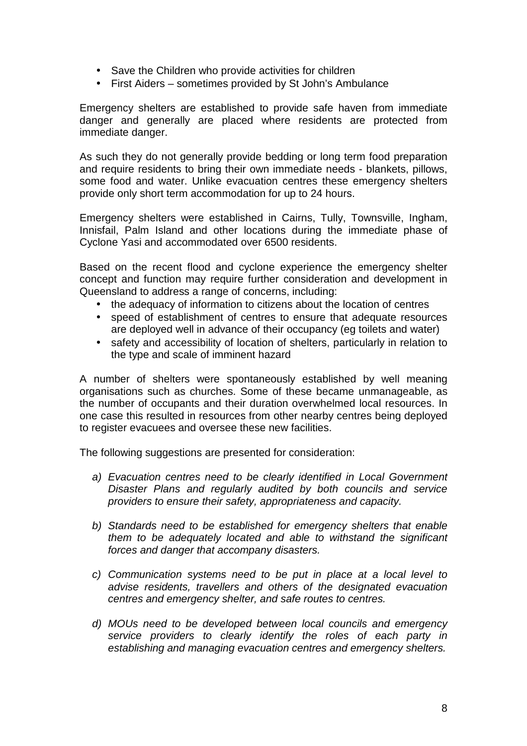- Save the Children who provide activities for children
- First Aiders sometimes provided by St John's Ambulance

Emergency shelters are established to provide safe haven from immediate danger and generally are placed where residents are protected from immediate danger.

As such they do not generally provide bedding or long term food preparation and require residents to bring their own immediate needs - blankets, pillows, some food and water. Unlike evacuation centres these emergency shelters provide only short term accommodation for up to 24 hours.

Emergency shelters were established in Cairns, Tully, Townsville, Ingham, Innisfail, Palm Island and other locations during the immediate phase of Cyclone Yasi and accommodated over 6500 residents.

Based on the recent flood and cyclone experience the emergency shelter concept and function may require further consideration and development in Queensland to address a range of concerns, including:

- the adequacy of information to citizens about the location of centres
- speed of establishment of centres to ensure that adequate resources are deployed well in advance of their occupancy (eg toilets and water)
- safety and accessibility of location of shelters, particularly in relation to the type and scale of imminent hazard

A number of shelters were spontaneously established by well meaning organisations such as churches. Some of these became unmanageable, as the number of occupants and their duration overwhelmed local resources. In one case this resulted in resources from other nearby centres being deployed to register evacuees and oversee these new facilities.

The following suggestions are presented for consideration:

- a) Evacuation centres need to be clearly identified in Local Government Disaster Plans and regularly audited by both councils and service providers to ensure their safety, appropriateness and capacity.
- b) Standards need to be established for emergency shelters that enable them to be adequately located and able to withstand the significant forces and danger that accompany disasters.
- c) Communication systems need to be put in place at a local level to advise residents, travellers and others of the designated evacuation centres and emergency shelter, and safe routes to centres.
- d) MOUs need to be developed between local councils and emergency service providers to clearly identify the roles of each party in establishing and managing evacuation centres and emergency shelters.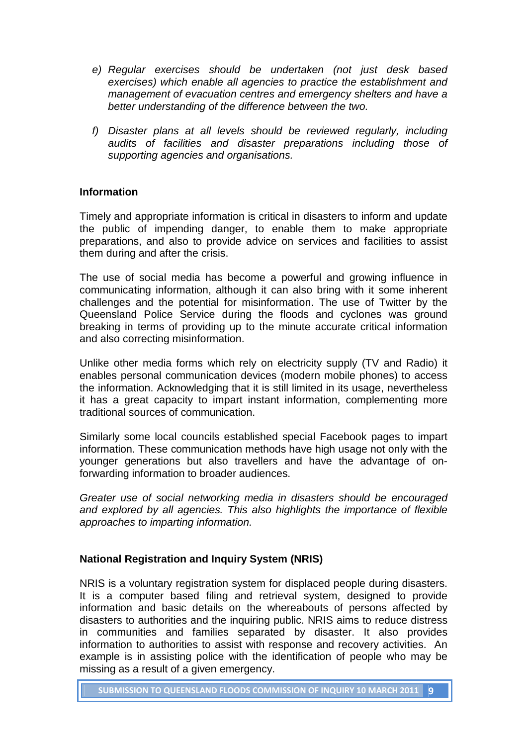- e) Regular exercises should be undertaken (not just desk based exercises) which enable all agencies to practice the establishment and management of evacuation centres and emergency shelters and have a better understanding of the difference between the two.
- f) Disaster plans at all levels should be reviewed regularly, including audits of facilities and disaster preparations including those of supporting agencies and organisations.

### **Information**

Timely and appropriate information is critical in disasters to inform and update the public of impending danger, to enable them to make appropriate preparations, and also to provide advice on services and facilities to assist them during and after the crisis.

The use of social media has become a powerful and growing influence in communicating information, although it can also bring with it some inherent challenges and the potential for misinformation. The use of Twitter by the Queensland Police Service during the floods and cyclones was ground breaking in terms of providing up to the minute accurate critical information and also correcting misinformation.

Unlike other media forms which rely on electricity supply (TV and Radio) it enables personal communication devices (modern mobile phones) to access the information. Acknowledging that it is still limited in its usage, nevertheless it has a great capacity to impart instant information, complementing more traditional sources of communication.

Similarly some local councils established special Facebook pages to impart information. These communication methods have high usage not only with the younger generations but also travellers and have the advantage of onforwarding information to broader audiences.

Greater use of social networking media in disasters should be encouraged and explored by all agencies. This also highlights the importance of flexible approaches to imparting information.

#### **National Registration and Inquiry System (NRIS)**

NRIS is a voluntary registration system for displaced people during disasters. It is a computer based filing and retrieval system, designed to provide information and basic details on the whereabouts of persons affected by disasters to authorities and the inquiring public. NRIS aims to reduce distress in communities and families separated by disaster. It also provides information to authorities to assist with response and recovery activities. An example is in assisting police with the identification of people who may be missing as a result of a given emergency.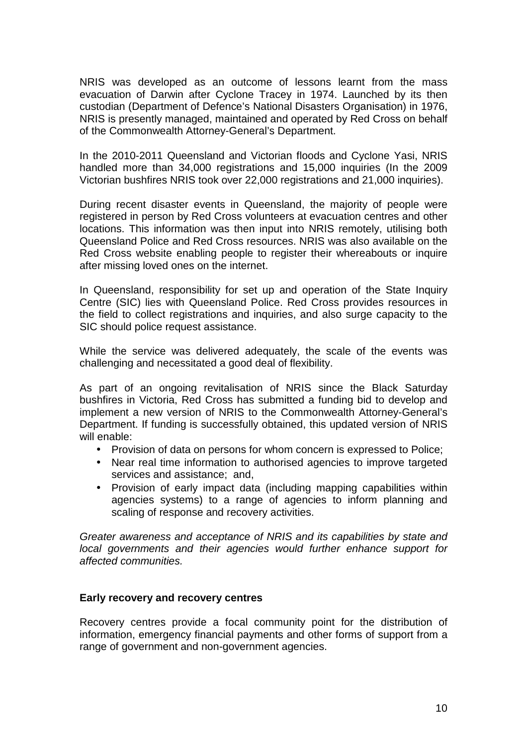NRIS was developed as an outcome of lessons learnt from the mass evacuation of Darwin after Cyclone Tracey in 1974. Launched by its then custodian (Department of Defence's National Disasters Organisation) in 1976, NRIS is presently managed, maintained and operated by Red Cross on behalf of the Commonwealth Attorney-General's Department.

In the 2010-2011 Queensland and Victorian floods and Cyclone Yasi, NRIS handled more than 34,000 registrations and 15,000 inquiries (In the 2009 Victorian bushfires NRIS took over 22,000 registrations and 21,000 inquiries).

During recent disaster events in Queensland, the majority of people were registered in person by Red Cross volunteers at evacuation centres and other locations. This information was then input into NRIS remotely, utilising both Queensland Police and Red Cross resources. NRIS was also available on the Red Cross website enabling people to register their whereabouts or inquire after missing loved ones on the internet.

In Queensland, responsibility for set up and operation of the State Inquiry Centre (SIC) lies with Queensland Police. Red Cross provides resources in the field to collect registrations and inquiries, and also surge capacity to the SIC should police request assistance.

While the service was delivered adequately, the scale of the events was challenging and necessitated a good deal of flexibility.

As part of an ongoing revitalisation of NRIS since the Black Saturday bushfires in Victoria, Red Cross has submitted a funding bid to develop and implement a new version of NRIS to the Commonwealth Attorney-General's Department. If funding is successfully obtained, this updated version of NRIS will enable:

- Provision of data on persons for whom concern is expressed to Police;
- Near real time information to authorised agencies to improve targeted services and assistance; and,
- Provision of early impact data (including mapping capabilities within agencies systems) to a range of agencies to inform planning and scaling of response and recovery activities.

Greater awareness and acceptance of NRIS and its capabilities by state and local governments and their agencies would further enhance support for affected communities.

#### **Early recovery and recovery centres**

Recovery centres provide a focal community point for the distribution of information, emergency financial payments and other forms of support from a range of government and non-government agencies.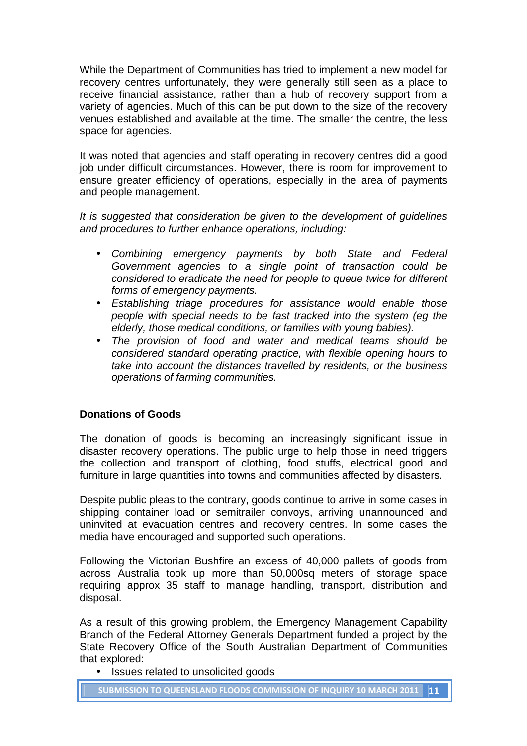While the Department of Communities has tried to implement a new model for recovery centres unfortunately, they were generally still seen as a place to receive financial assistance, rather than a hub of recovery support from a variety of agencies. Much of this can be put down to the size of the recovery venues established and available at the time. The smaller the centre, the less space for agencies.

It was noted that agencies and staff operating in recovery centres did a good job under difficult circumstances. However, there is room for improvement to ensure greater efficiency of operations, especially in the area of payments and people management.

It is suggested that consideration be given to the development of guidelines and procedures to further enhance operations, including:

- Combining emergency payments by both State and Federal Government agencies to a single point of transaction could be considered to eradicate the need for people to queue twice for different forms of emergency payments.
- Establishing triage procedures for assistance would enable those people with special needs to be fast tracked into the system (eg the elderly, those medical conditions, or families with young babies).
- The provision of food and water and medical teams should be considered standard operating practice, with flexible opening hours to take into account the distances travelled by residents, or the business operations of farming communities.

#### **Donations of Goods**

The donation of goods is becoming an increasingly significant issue in disaster recovery operations. The public urge to help those in need triggers the collection and transport of clothing, food stuffs, electrical good and furniture in large quantities into towns and communities affected by disasters.

Despite public pleas to the contrary, goods continue to arrive in some cases in shipping container load or semitrailer convoys, arriving unannounced and uninvited at evacuation centres and recovery centres. In some cases the media have encouraged and supported such operations.

Following the Victorian Bushfire an excess of 40,000 pallets of goods from across Australia took up more than 50,000sq meters of storage space requiring approx 35 staff to manage handling, transport, distribution and disposal.

As a result of this growing problem, the Emergency Management Capability Branch of the Federal Attorney Generals Department funded a project by the State Recovery Office of the South Australian Department of Communities that explored:

• Issues related to unsolicited goods